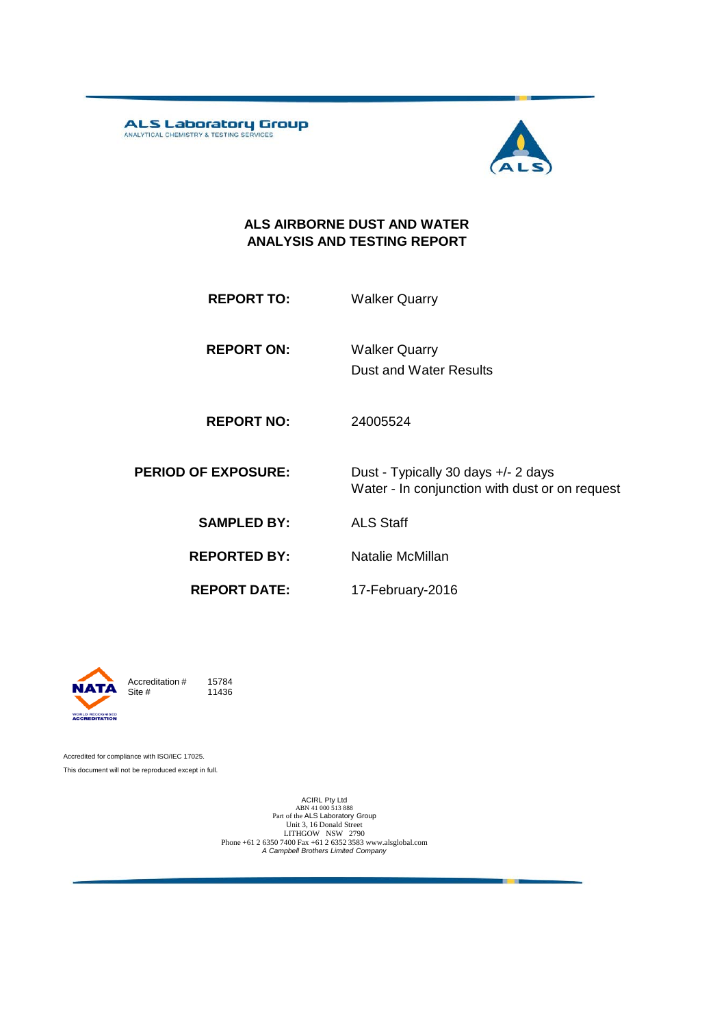ALS Laboratory Group



#### **ALS AIRBORNE DUST AND WATER ANALYSIS AND TESTING REPORT**

**REPORT TO:** Walker Quarry

**REPORT ON:** Dust and Water Results Walker Quarry

**REPORT NO:** 24005524

**PERIOD OF EXPOSURE:** Dust - Typically 30 days +/- 2 days Water - In conjunction with dust or on request

**SAMPLED BY:** ALS Staff

**REPORTED BY:** Natalie McMillan

**REPORT DATE:**

17-February-2016



Accreditation  $\#$  15784<br>Site  $\#$  11436 11436

Accredited for compliance with ISO/IEC 17025. This document will not be reproduced except in full.

> ACIRL Pty Ltd<br>ABN 41 000 513 888<br>Part of the ALS Laboratory Group Unit 3, 16 Donald Street LITHGOW NSW 2790 Phone +61 2 6350 7400 Fax +61 2 6352 3583 www.alsglobal.com *A Campbell Brothers Limited Company*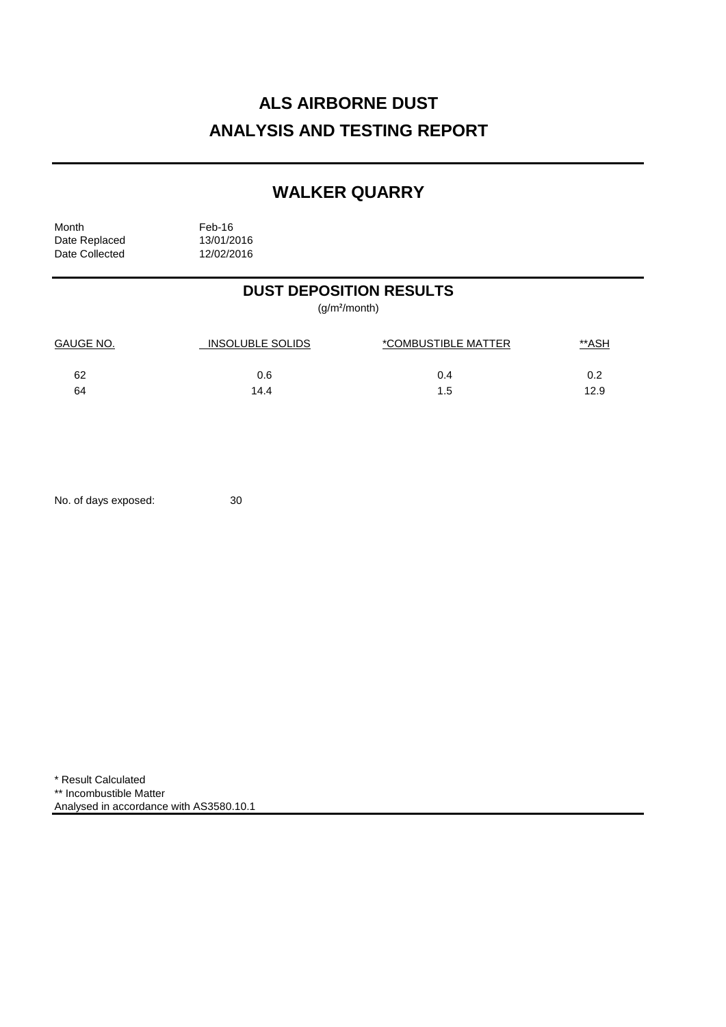# **ALS AIRBORNE DUST ANALYSIS AND TESTING REPORT**

## **WALKER QUARRY**

Month<br>Date Replaced 13/01/2016 Date Replaced 13/01/2016<br>Date Collected 12/02/2016 Date Collected

## **DUST DEPOSITION RESULTS**

(g/m²/month)

| <b>GAUGE NO.</b> | <b>INSOLUBLE SOLIDS</b> | *COMBUSTIBLE MATTER | <u>**ASH</u> |
|------------------|-------------------------|---------------------|--------------|
| 62               | 0.6                     | 0.4                 | 0.2          |
| 64               | 14.4                    | 1.5                 | 12.9         |

No. of days exposed: 30

\* Result Calculated \*\* Incombustible Matter Analysed in accordance with AS3580.10.1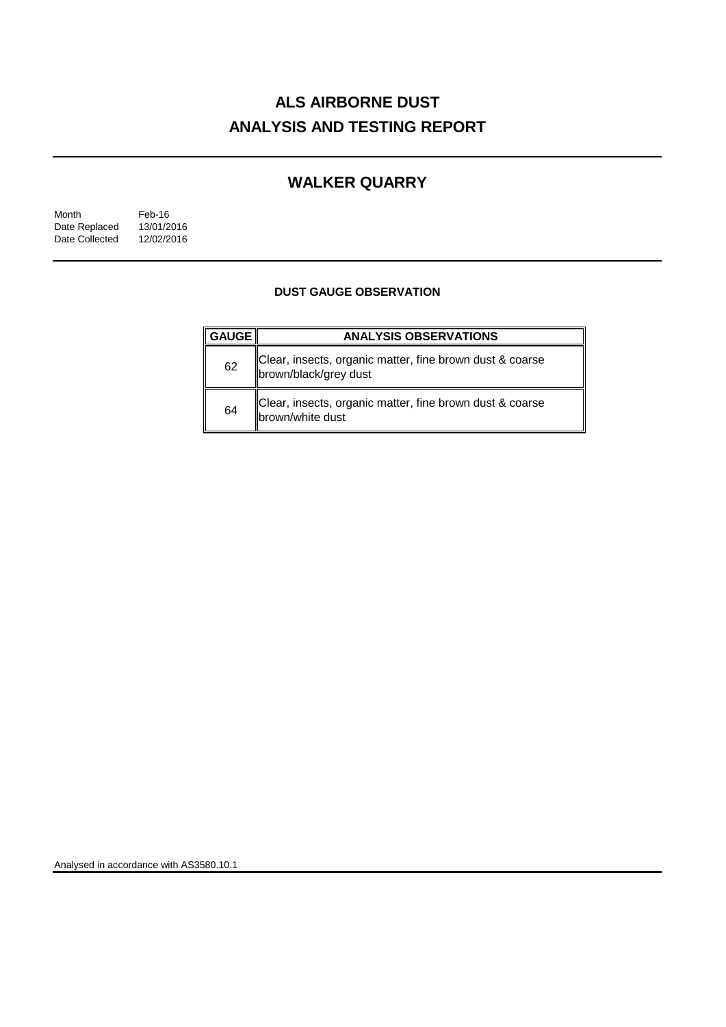# **ALS AIRBORNE DUST ANALYSIS AND TESTING REPORT**

## **WALKER QUARRY**

| Month          | Feb-16     |
|----------------|------------|
| Date Replaced  | 13/01/2016 |
| Date Collected | 12/02/2016 |

### **DUST GAUGE OBSERVATION**

| <b>GAUGE</b> | <b>ANALYSIS OBSERVATIONS</b>                                                      |  |  |
|--------------|-----------------------------------------------------------------------------------|--|--|
| 62           | Clear, insects, organic matter, fine brown dust & coarse<br>brown/black/grey dust |  |  |
| 64           | Clear, insects, organic matter, fine brown dust & coarse<br>brown/white dust      |  |  |

Analysed in accordance with AS3580.10.1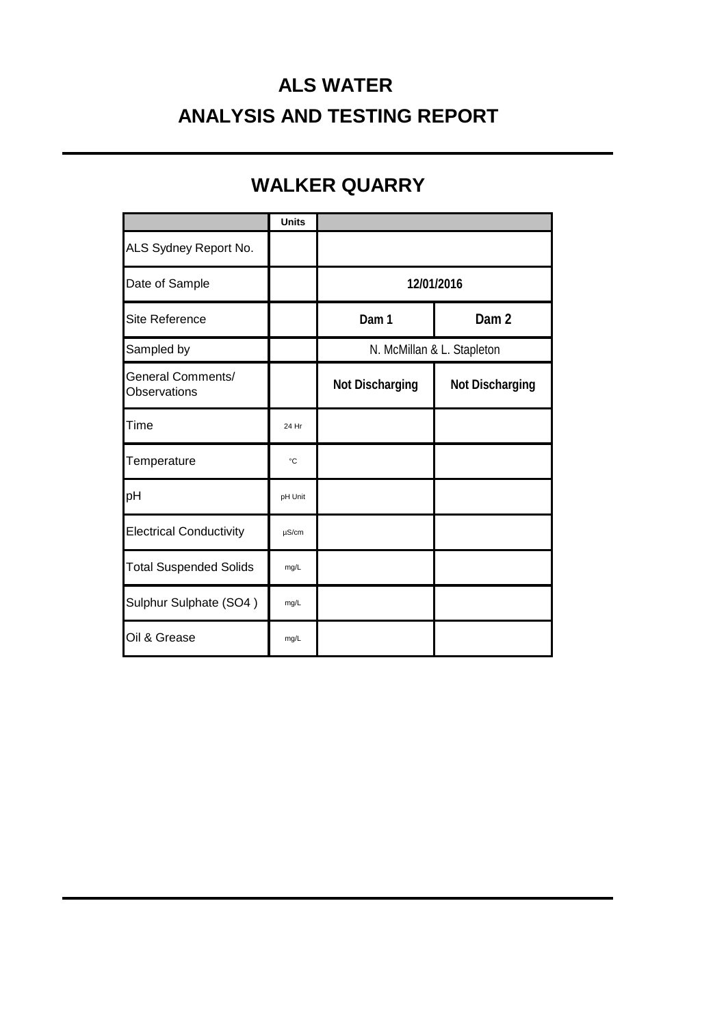# **ALS WATER ANALYSIS AND TESTING REPORT**

## **WALKER QUARRY**

|                                   | <b>Units</b> |                            |                        |
|-----------------------------------|--------------|----------------------------|------------------------|
| ALS Sydney Report No.             |              |                            |                        |
| Date of Sample                    |              | 12/01/2016                 |                        |
| Site Reference                    |              | Dam 1                      | Dam <sub>2</sub>       |
| Sampled by                        |              | N. McMillan & L. Stapleton |                        |
| General Comments/<br>Observations |              | <b>Not Discharging</b>     | <b>Not Discharging</b> |
| Time                              | 24 Hr        |                            |                        |
| Temperature                       | $^{\circ}C$  |                            |                        |
| pH                                | pH Unit      |                            |                        |
| <b>Electrical Conductivity</b>    | $\mu$ S/cm   |                            |                        |
| <b>Total Suspended Solids</b>     | mg/L         |                            |                        |
| Sulphur Sulphate (SO4)            | mg/L         |                            |                        |
| Oil & Grease                      | mg/L         |                            |                        |